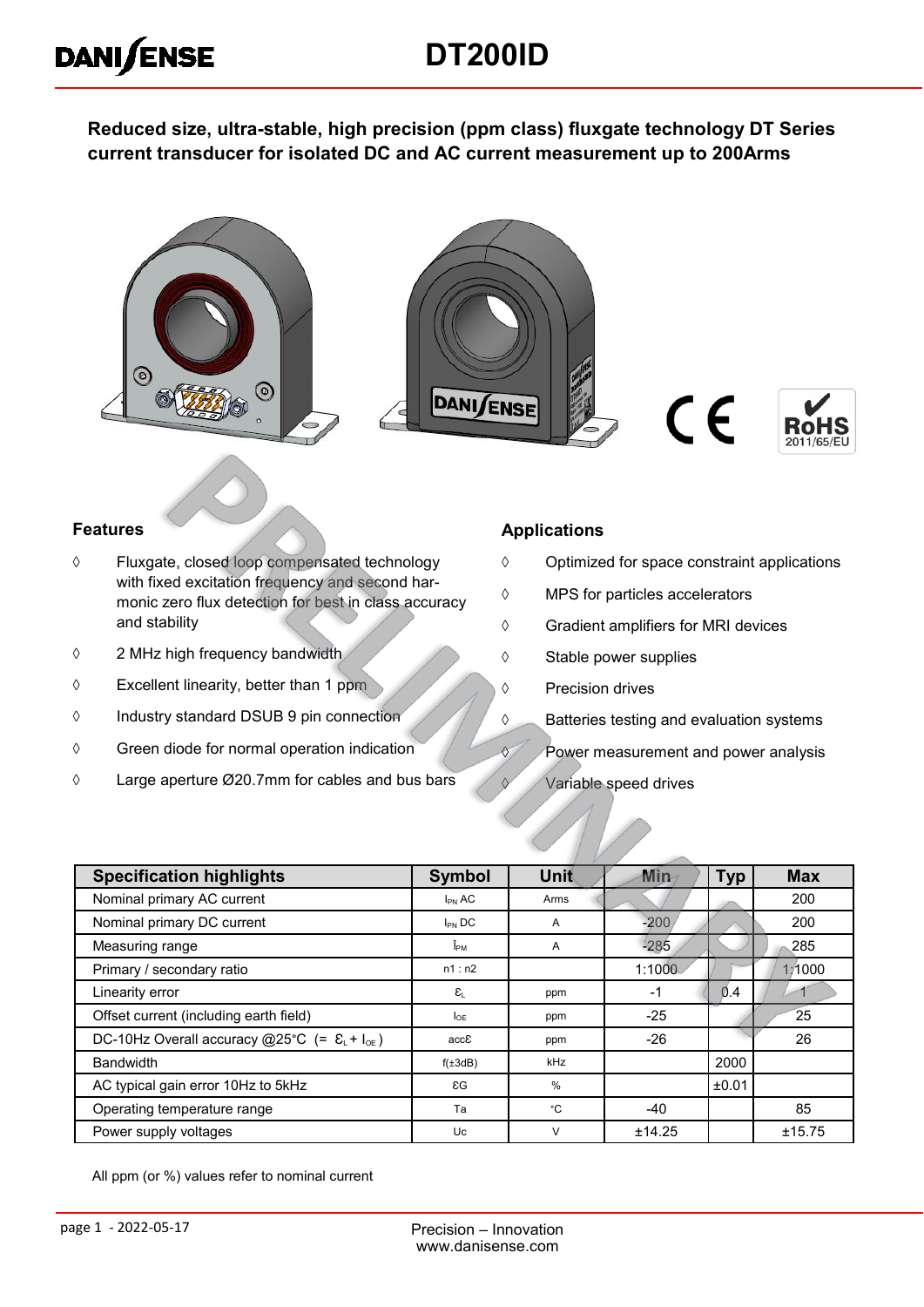## **DT200ID**

**Reduced size, ultra-stable, high precision (ppm class) fluxgate technology DT Series current transducer for isolated DC and AC current measurement up to 200Arms**



#### **Features**

**DANISENSE** 

- Fluxgate, closed loop compensated technology with fixed excitation frequency and second harmonic zero flux detection for best in class accuracy and stability
- 2 MHz high frequency bandwidth
- $\Diamond$  Excellent linearity, better than 1 ppm
- Industry standard DSUB 9 pin connection
- $\Diamond$  Green diode for normal operation indication
- Large aperture Ø20.7mm for cables and bus bars

#### **Applications**

- $\Diamond$  Optimized for space constraint applications
- MPS for particles accelerators
- Gradient amplifiers for MRI devices
- $\diamond$  Stable power supplies
- ♦ Precision drives
- **S** Batteries testing and evaluation systems
- **Power measurement and power analysis**
- $\sqrt{V}$  Variable speed drives

| <b>Specification highlights</b>                                    | <b>Symbol</b>                    | Unit   | Min    | <b>Typ</b> | <b>Max</b> |
|--------------------------------------------------------------------|----------------------------------|--------|--------|------------|------------|
| Nominal primary AC current                                         | $I_{PN}$ AC                      | Arms   |        |            | 200        |
| Nominal primary DC current                                         | $I_{PN}$ DC                      | A      | $-200$ |            | 200        |
| Measuring range                                                    | $\mathbf{\hat{l}}_{\texttt{PM}}$ | A      | 285    |            | 285        |
| Primary / secondary ratio                                          | n1:n2                            |        | 1:1000 |            | 1:1000     |
| Linearity error                                                    | $\varepsilon_{\shortparallel}$   | ppm    | $-1$   | 0.4        |            |
| Offset current (including earth field)                             | $I_{\text{OF}}$                  | ppm    | $-25$  |            | 25         |
| DC-10Hz Overall accuracy @25°C (= $\epsilon_L$ + I <sub>oE</sub> ) | accE                             | ppm    | $-26$  |            | 26         |
| <b>Bandwidth</b>                                                   | $f(\pm 3dB)$                     | kHz    |        | 2000       |            |
| AC typical gain error 10Hz to 5kHz                                 | $\epsilon G$                     | $\%$   |        | ±0.01      |            |
| Operating temperature range                                        | Ta                               | °C     | $-40$  |            | 85         |
| Power supply voltages                                              | Uc                               | $\vee$ | ±14.25 |            | ±15.75     |

All ppm (or %) values refer to nominal current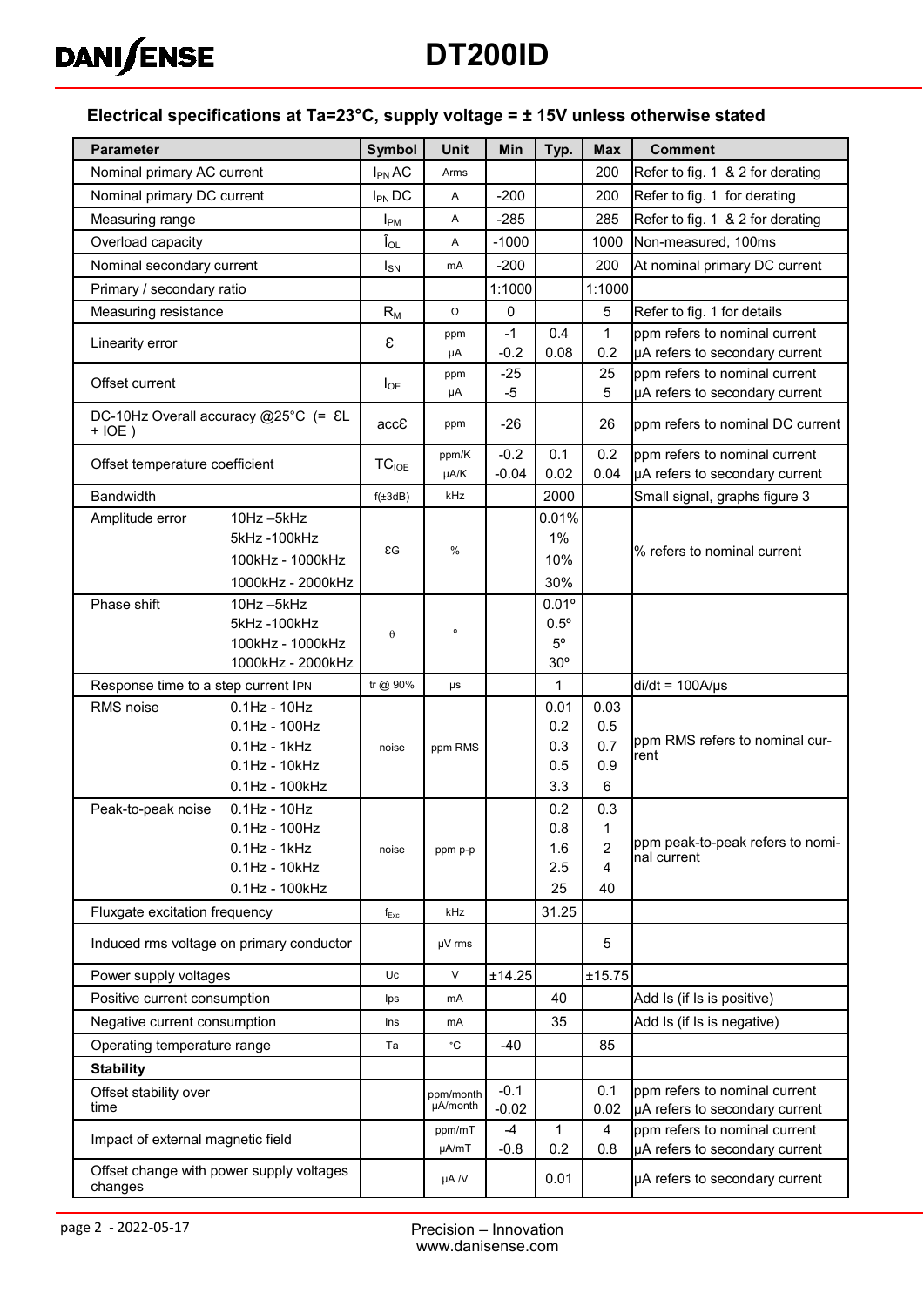

# **DT200ID**

#### **Electrical specifications at Ta=23°C, supply voltage = ± 15V unless otherwise stated**

| <b>Parameter</b>                                       | <b>Symbol</b>               | Unit            | Min            | Typ.           | <b>Max</b>            | <b>Comment</b>                                                  |
|--------------------------------------------------------|-----------------------------|-----------------|----------------|----------------|-----------------------|-----------------------------------------------------------------|
| Nominal primary AC current                             | $I_{PN}$ AC                 | Arms            |                |                | 200                   | Refer to fig. 1 & 2 for derating                                |
| Nominal primary DC current                             | $I_{PN}$ DC                 | Α               | $-200$         |                | 200                   | Refer to fig. 1 for derating                                    |
| Measuring range                                        | $I_{PM}$                    | Α               | $-285$         |                | 285                   | Refer to fig. 1 & 2 for derating                                |
| Overload capacity                                      | $\mathbf{\hat{I}}_{OL}$     | Α               | $-1000$        |                | 1000                  | Non-measured, 100ms                                             |
| Nominal secondary current                              | $I_{SN}$                    | mA              | $-200$         |                | 200                   | At nominal primary DC current                                   |
| Primary / secondary ratio                              |                             |                 | 1:1000         |                | 1:1000                |                                                                 |
| Measuring resistance                                   | $R_M$                       | Ω               | $\mathbf 0$    |                | 5                     | Refer to fig. 1 for details                                     |
| Linearity error                                        | $\epsilon_{\text{\tiny L}}$ | ppm             | $-1$           | 0.4            | $\mathbf{1}$          | ppm refers to nominal current                                   |
|                                                        |                             | μA              | $-0.2$         | 0.08           | 0.2                   | µA refers to secondary current                                  |
| Offset current                                         | $I_{OE}$                    | ppm<br>μA       | $-25$<br>$-5$  |                | 25<br>$\overline{5}$  | ppm refers to nominal current<br>µA refers to secondary current |
| DC-10Hz Overall accuracy @25°C (= &L<br>$+IOE$ )       | accE                        | ppm             | $-26$          |                | 26                    | ppm refers to nominal DC current                                |
| Offset temperature coefficient                         | $TC_{IOE}$                  | ppm/K           | $-0.2$         | 0.1            | 0.2                   | ppm refers to nominal current                                   |
|                                                        |                             | µA/K            | $-0.04$        | 0.02           | 0.04                  | µA refers to secondary current                                  |
| <b>Bandwidth</b>                                       | $f(\pm 3dB)$                | kHz             |                | 2000           |                       | Small signal, graphs figure 3                                   |
| 10Hz-5kHz<br>Amplitude error<br>5kHz-100kHz            |                             |                 |                | 0.01%<br>$1\%$ |                       |                                                                 |
| 100kHz - 1000kHz                                       | εG                          | %               |                | 10%            |                       | % refers to nominal current                                     |
| 1000kHz - 2000kHz                                      |                             |                 |                | 30%            |                       |                                                                 |
| Phase shift<br>10Hz-5kHz                               |                             |                 |                | $0.01^{\circ}$ |                       |                                                                 |
| 5kHz-100kHz                                            |                             | $\circ$         |                | $0.5^{\circ}$  |                       |                                                                 |
| 100kHz - 1000kHz                                       | θ                           |                 |                | $5^{\circ}$    |                       |                                                                 |
| 1000kHz - 2000kHz                                      |                             |                 |                | 30°            |                       |                                                                 |
| Response time to a step current IPN                    | tr @ 90%                    | $\mu s$         |                | 1              |                       | $di/dt = 100A/\mu s$                                            |
| $0.1$ Hz - $10$ Hz<br>RMS noise<br>$0.1$ Hz - $100$ Hz |                             |                 |                | 0.01<br>0.2    | 0.03<br>0.5           |                                                                 |
| $0.1$ Hz - 1 $k$ Hz                                    | noise                       | ppm RMS         |                | 0.3            | 0.7                   | ppm RMS refers to nominal cur-                                  |
| $0.1$ Hz - $10$ kHz                                    |                             |                 |                | 0.5            | 0.9                   | rent                                                            |
| 0.1Hz - 100kHz                                         |                             |                 |                | 3.3            | 6                     |                                                                 |
| $0.1$ Hz - $10$ Hz<br>Peak-to-peak noise               |                             |                 |                | 0.2            | 0.3                   |                                                                 |
| $0.1$ Hz - $100$ Hz                                    |                             |                 |                | 0.8            | 1                     | ppm peak-to-peak refers to nomi-                                |
| $0.1$ Hz - 1 $k$ Hz<br>$0.1$ Hz - $10$ kHz             | noise                       | ppm p-p         |                | 1.6<br>2.5     | $\overline{2}$<br>4   | nal current                                                     |
| 0.1Hz - 100kHz                                         |                             |                 |                | 25             | 40                    |                                                                 |
| Fluxgate excitation frequency                          | $f_{Exc}$                   | kHz             |                | 31.25          |                       |                                                                 |
| Induced rms voltage on primary conductor               |                             | µV rms          |                |                | 5                     |                                                                 |
| Power supply voltages                                  | Uc                          | V               | ±14.25         |                | ±15.75                |                                                                 |
| Positive current consumption                           | lps                         | mA              |                | 40             |                       | Add Is (if Is is positive)                                      |
| Negative current consumption                           | Ins                         | <b>mA</b>       |                | 35             |                       | Add Is (if Is is negative)                                      |
| Operating temperature range                            | Ta                          | ۰c              | $-40$          |                | 85                    |                                                                 |
| <b>Stability</b>                                       |                             |                 |                |                |                       |                                                                 |
| Offset stability over                                  |                             | ppm/month       | $-0.1$         |                | 0.1                   | ppm refers to nominal current                                   |
| time                                                   |                             | µA/month        | $-0.02$        |                | 0.02                  | µA refers to secondary current                                  |
| Impact of external magnetic field                      |                             | ppm/mT<br>µA/mT | $-4$<br>$-0.8$ | 1<br>0.2       | $\overline{4}$<br>0.8 | ppm refers to nominal current<br>µA refers to secondary current |
| Offset change with power supply voltages<br>changes    |                             | $\mu A/V$       |                | 0.01           |                       | µA refers to secondary current                                  |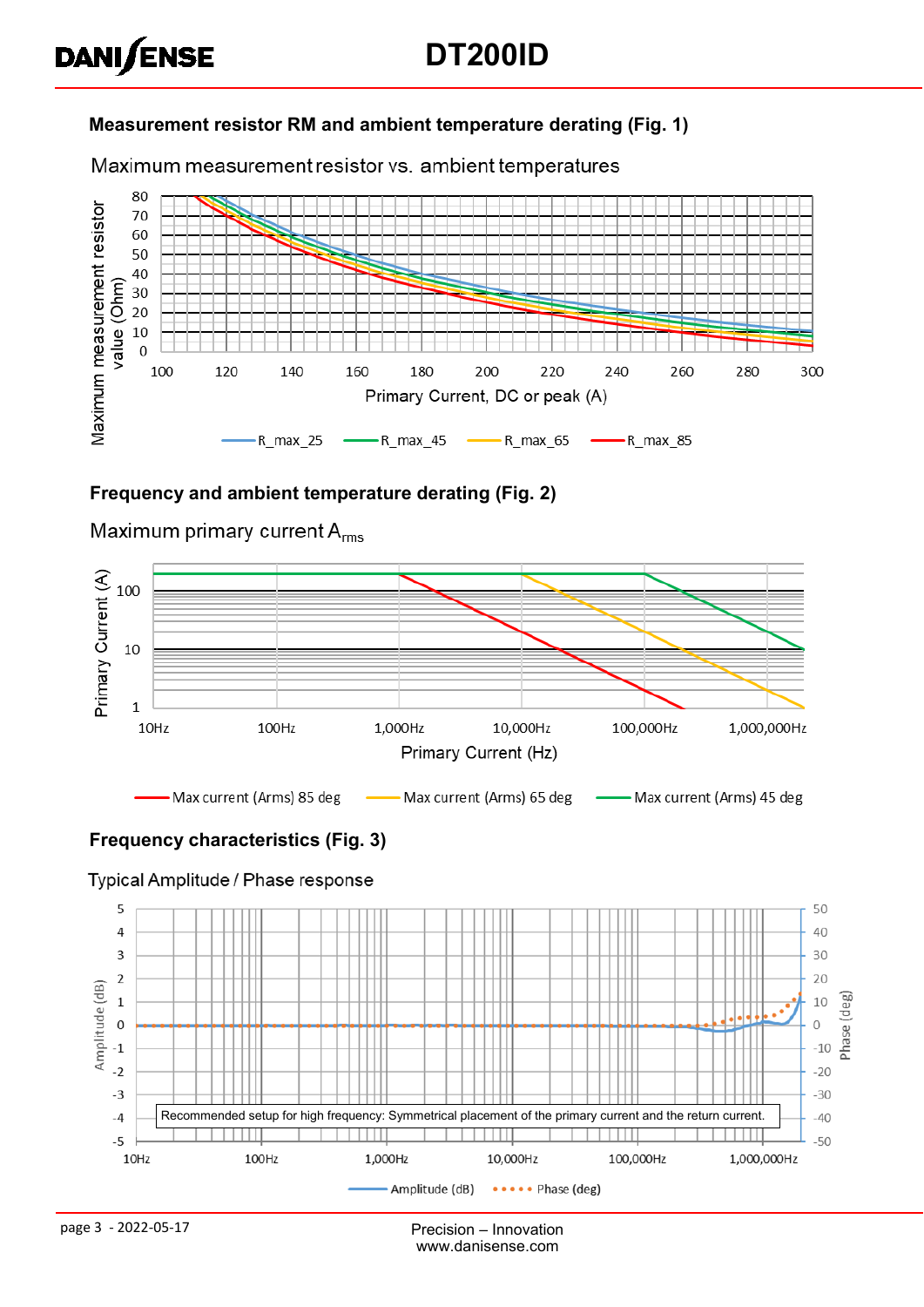#### **Measurement resistor RM and ambient temperature derating (Fig. 1)**

Maximum measurement resistor vs. ambient temperatures



#### **Frequency and ambient temperature derating (Fig. 2)**



Maximum primary current  $A_{rms}$ 

**DANISENSE** 

#### **Frequency characteristics (Fig. 3)**

#### Typical Amplitude / Phase response



page 3 - 2022-05-17 Precision – Innovation www.danisense.com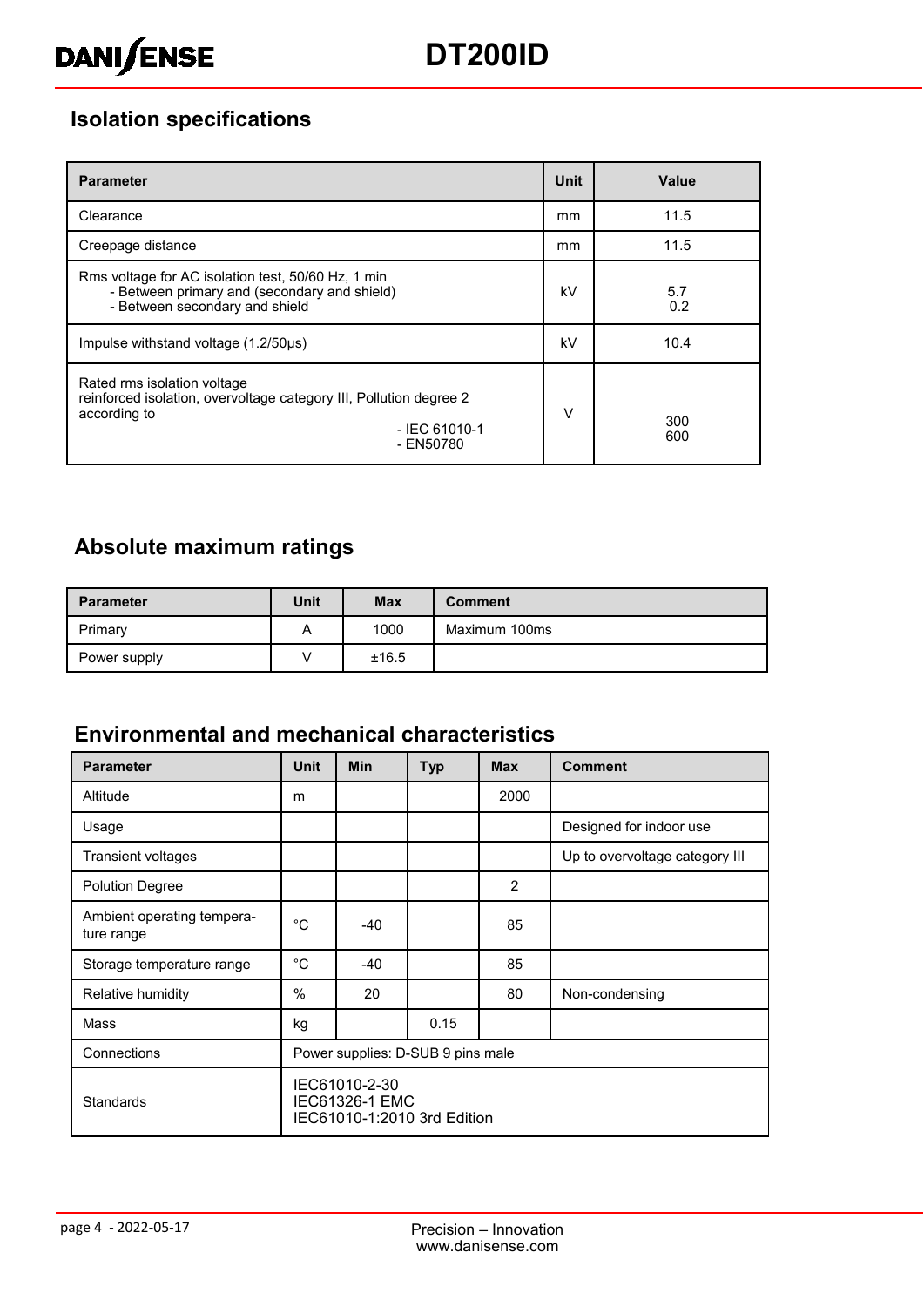## **Isolation specifications**

| <b>Parameter</b>                                                                                                                                  | <b>Unit</b> | Value      |
|---------------------------------------------------------------------------------------------------------------------------------------------------|-------------|------------|
| Clearance                                                                                                                                         | mm          | 11.5       |
| Creepage distance                                                                                                                                 | mm          | 11.5       |
| Rms voltage for AC isolation test, 50/60 Hz, 1 min<br>- Between primary and (secondary and shield)<br>- Between secondary and shield              | kV          | 5.7<br>0.2 |
| Impulse withstand voltage (1.2/50us)                                                                                                              | kV          | 10.4       |
| Rated rms isolation voltage<br>reinforced isolation, overvoltage category III, Pollution degree 2<br>according to<br>$-$ IEC 61010-1<br>- EN50780 | $\vee$      | 300<br>600 |

## **Absolute maximum ratings**

| <b>Parameter</b> | <b>Unit</b> | <b>Max</b> | <b>Comment</b> |
|------------------|-------------|------------|----------------|
| Primary          | A           | 1000       | Maximum 100ms  |
| Power supply     |             | ±16.5      |                |

### **Environmental and mechanical characteristics**

| <b>Parameter</b>                         | <b>Unit</b>                                                           | <b>Min</b> | <b>Typ</b> | <b>Max</b>    | <b>Comment</b>                 |
|------------------------------------------|-----------------------------------------------------------------------|------------|------------|---------------|--------------------------------|
| Altitude                                 | m                                                                     |            |            | 2000          |                                |
| Usage                                    |                                                                       |            |            |               | Designed for indoor use        |
| Transient voltages                       |                                                                       |            |            |               | Up to overvoltage category III |
| <b>Polution Degree</b>                   |                                                                       |            |            | $\mathcal{P}$ |                                |
| Ambient operating tempera-<br>ture range | $^{\circ}C$                                                           | -40        |            | 85            |                                |
| Storage temperature range                | $^{\circ}$ C                                                          | $-40$      |            | 85            |                                |
| Relative humidity                        | $\frac{0}{0}$                                                         | 20         |            | 80            | Non-condensing                 |
| Mass                                     | kg                                                                    |            | 0.15       |               |                                |
| Connections                              | Power supplies: D-SUB 9 pins male                                     |            |            |               |                                |
| <b>Standards</b>                         | IEC61010-2-30<br><b>IEC61326-1 EMC</b><br>IEC61010-1:2010 3rd Edition |            |            |               |                                |